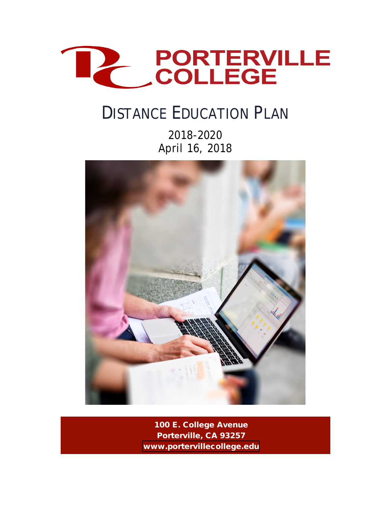

# DISTANCE EDUCATION PLAN

2018-2020 April 16, 2018



100 E. College Avenue Porterville, CA 93257 [www.portervillecollege.edu](https://www.portervillecollege.edu/)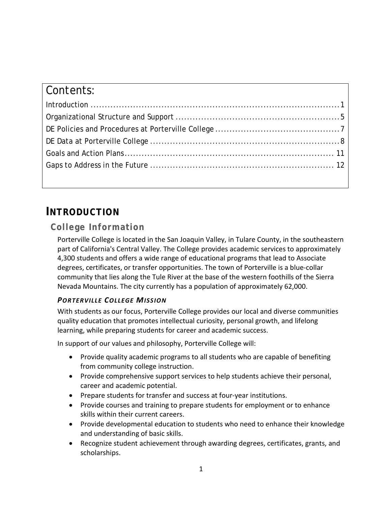| Contents: |  |
|-----------|--|
|           |  |
|           |  |
|           |  |
|           |  |
|           |  |
|           |  |
|           |  |

## **INTRODUCTION**

### **College Information**

Porterville College is located in the San Joaquin Valley, in Tulare County, in the southeastern part of California's Central Valley. The College provides academic services to approximately 4,300 students and offers a wide range of educational programs that lead to Associate degrees, certificates, or transfer opportunities. The town of Porterville is a blue-collar community that lies along the Tule River at the base of the western foothills of the Sierra Nevada Mountains. The city currently has a population of approximately 62,000.

### *PORTERVILLE COLLEGE MISSION*

With students as our focus, Porterville College provides our local and diverse communities quality education that promotes intellectual curiosity, personal growth, and lifelong learning, while preparing students for career and academic success.

In support of our values and philosophy, Porterville College will:

- Provide quality academic programs to all students who are capable of benefiting from community college instruction.
- Provide comprehensive support services to help students achieve their personal, career and academic potential.
- Prepare students for transfer and success at four-year institutions.
- Provide courses and training to prepare students for employment or to enhance skills within their current careers.
- Provide developmental education to students who need to enhance their knowledge and understanding of basic skills.
- Recognize student achievement through awarding degrees, certificates, grants, and scholarships.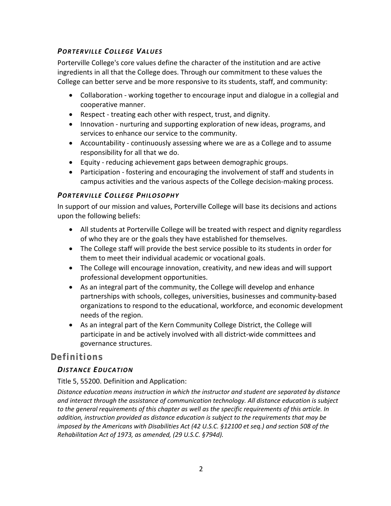#### *PORTERVILLE COLLEGE VALUES*

Porterville College's core values define the character of the institution and are active ingredients in all that the College does. Through our commitment to these values the College can better serve and be more responsive to its students, staff, and community:

- Collaboration working together to encourage input and dialogue in a collegial and cooperative manner.
- Respect treating each other with respect, trust, and dignity.
- Innovation nurturing and supporting exploration of new ideas, programs, and services to enhance our service to the community.
- Accountability continuously assessing where we are as a College and to assume responsibility for all that we do.
- Equity reducing achievement gaps between demographic groups.
- Participation fostering and encouraging the involvement of staff and students in campus activities and the various aspects of the College decision-making process.

#### *PORTERVILLE COLLEGE PHILOSOPHY*

In support of our mission and values, Porterville College will base its decisions and actions upon the following beliefs:

- All students at Porterville College will be treated with respect and dignity regardless of who they are or the goals they have established for themselves.
- The College staff will provide the best service possible to its students in order for them to meet their individual academic or vocational goals.
- The College will encourage innovation, creativity, and new ideas and will support professional development opportunities.
- As an integral part of the community, the College will develop and enhance partnerships with schools, colleges, universities, businesses and community-based organizations to respond to the educational, workforce, and economic development needs of the region.
- As an integral part of the Kern Community College District, the College will participate in and be actively involved with all district-wide committees and governance structures.

### **Definitions**

#### *DISTANCE EDUCATION*

Title 5, 55200. Definition and Application:

*Distance education means instruction in which the instructor and student are separated by distance and interact through the assistance of communication technology. All distance education is subject to the general requirements of this chapter as well as the specific requirements of this article. In addition, instruction provided as distance education is subject to the requirements that may be imposed by the Americans with Disabilities Act (42 U.S.C. §12100 et seq.) and section 508 of the Rehabilitation Act of 1973, as amended, (29 U.S.C. §794d).*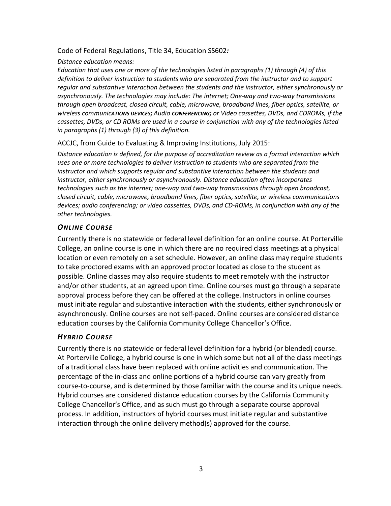#### Code of Federal Regulations, Title 34, Education SS602*:*

#### *Distance education means:*

*Education that uses one or more of the technologies listed in paragraphs (1) through (4) of this definition to deliver instruction to students who are separated from the instructor and to support regular and substantive interaction between the students and the instructor, either synchronously or asynchronously. The technologies may include: The internet; One-way and two-way transmissions through open broadcast, closed circuit, cable, microwave, broadband lines, fiber optics, satellite, or wireless communicATIONS DEVICES; Audio CONFERENCING; or Video cassettes, DVDs, and CDROMs, if the cassettes, DVDs, or CD ROMs are used in a course in conjunction with any of the technologies listed in paragraphs (1) through (3) of this definition.*

#### ACCJC, from Guide to Evaluating & Improving Institutions, July 2015:

*Distance education is defined, for the purpose of accreditation review as a formal interaction which uses one or more technologies to deliver instruction to students who are separated from the instructor and which supports regular and substantive interaction between the students and instructor, either synchronously or asynchronously. Distance education often incorporates technologies such as the internet; one-way and two-way transmissions through open broadcast, closed circuit, cable, microwave, broadband lines, fiber optics, satellite, or wireless communications devices; audio conferencing; or video cassettes, DVDs, and CD-ROMs, in conjunction with any of the other technologies.*

#### *ONLINE COURSE*

Currently there is no statewide or federal level definition for an online course. At Porterville College, an online course is one in which there are no required class meetings at a physical location or even remotely on a set schedule. However, an online class may require students to take proctored exams with an approved proctor located as close to the student as possible. Online classes may also require students to meet remotely with the instructor and/or other students, at an agreed upon time. Online courses must go through a separate approval process before they can be offered at the college. Instructors in online courses must initiate regular and substantive interaction with the students, either synchronously or asynchronously. Online courses are not self-paced. Online courses are considered distance education courses by the California Community College Chancellor's Office.

#### *HYBRID COURSE*

Currently there is no statewide or federal level definition for a hybrid (or blended) course. At Porterville College, a hybrid course is one in which some but not all of the class meetings of a traditional class have been replaced with online activities and communication. The percentage of the in-class and online portions of a hybrid course can vary greatly from course-to-course, and is determined by those familiar with the course and its unique needs. Hybrid courses are considered distance education courses by the California Community College Chancellor's Office, and as such must go through a separate course approval process. In addition, instructors of hybrid courses must initiate regular and substantive interaction through the online delivery method(s) approved for the course.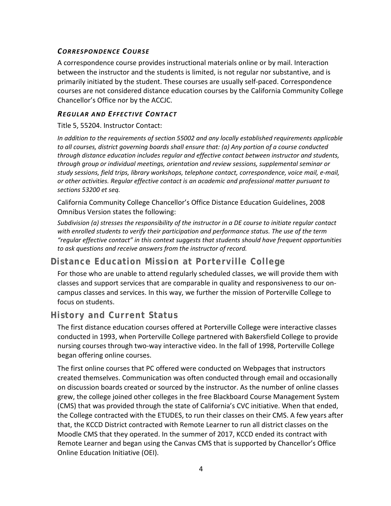#### *CORRESPONDENCE COURSE*

A correspondence course provides instructional materials online or by mail. Interaction between the instructor and the students is limited, is not regular nor substantive, and is primarily initiated by the student. These courses are usually self-paced. Correspondence courses are not considered distance education courses by the California Community College Chancellor's Office nor by the ACCJC.

#### *REGULAR AND EFFECTIVE CONTACT*

Title 5, 55204. Instructor Contact:

*In addition to the requirements of section 55002 and any locally established requirements applicable to all courses, district governing boards shall ensure that: (a) Any portion of a course conducted through distance education includes regular and effective contact between instructor and students, through group or individual meetings, orientation and review sessions, supplemental seminar or study sessions, field trips, library workshops, telephone contact, correspondence, voice mail, e-mail, or other activities. Regular effective contact is an academic and professional matter pursuant to sections 53200 et seq.*

California Community College Chancellor's Office Distance Education Guidelines, 2008 Omnibus Version states the following:

*Subdivision (a) stresses the responsibility of the instructor in a DE course to initiate regular contact with enrolled students to verify their participation and performance status. The use of the term "regular effective contact" in this context suggests that students should have frequent opportunities to ask questions and receive answers from the instructor of record.*

### **Distance Education Mission at Porterville College**

For those who are unable to attend regularly scheduled classes, we will provide them with classes and support services that are comparable in quality and responsiveness to our oncampus classes and services. In this way, we further the mission of Porterville College to focus on students.

### **History and Current Status**

The first distance education courses offered at Porterville College were interactive classes conducted in 1993, when Porterville College partnered with Bakersfield College to provide nursing courses through two-way interactive video. In the fall of 1998, Porterville College began offering online courses.

The first online courses that PC offered were conducted on Webpages that instructors created themselves. Communication was often conducted through email and occasionally on discussion boards created or sourced by the instructor. As the number of online classes grew, the college joined other colleges in the free Blackboard Course Management System (CMS) that was provided through the state of California's CVC initiative. When that ended, the College contracted with the ETUDES, to run their classes on their CMS. A few years after that, the KCCD District contracted with Remote Learner to run all district classes on the Moodle CMS that they operated. In the summer of 2017, KCCD ended its contract with Remote Learner and began using the Canvas CMS that is supported by Chancellor's Office Online Education Initiative (OEI).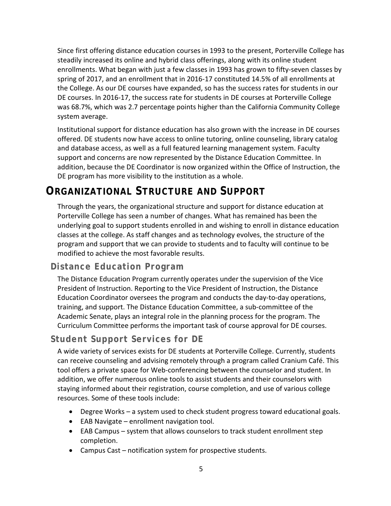Since first offering distance education courses in 1993 to the present, Porterville College has steadily increased its online and hybrid class offerings, along with its online student enrollments. What began with just a few classes in 1993 has grown to fifty-seven classes by spring of 2017, and an enrollment that in 2016-17 constituted 14.5% of all enrollments at the College. As our DE courses have expanded, so has the success rates for students in our DE courses. In 2016-17, the success rate for students in DE courses at Porterville College was 68.7%, which was 2.7 percentage points higher than the California Community College system average.

Institutional support for distance education has also grown with the increase in DE courses offered. DE students now have access to online tutoring, online counseling, library catalog and database access, as well as a full featured learning management system. Faculty support and concerns are now represented by the Distance Education Committee. In addition, because the DE Coordinator is now organized within the Office of Instruction, the DE program has more visibility to the institution as a whole.

# **ORGANIZATIONAL STRUCTURE AND SUPPORT**

Through the years, the organizational structure and support for distance education at Porterville College has seen a number of changes. What has remained has been the underlying goal to support students enrolled in and wishing to enroll in distance education classes at the college. As staff changes and as technology evolves, the structure of the program and support that we can provide to students and to faculty will continue to be modified to achieve the most favorable results.

### **Distance Education Program**

The Distance Education Program currently operates under the supervision of the Vice President of Instruction. Reporting to the Vice President of Instruction, the Distance Education Coordinator oversees the program and conducts the day-to-day operations, training, and support. The Distance Education Committee, a sub-committee of the Academic Senate, plays an integral role in the planning process for the program. The Curriculum Committee performs the important task of course approval for DE courses.

### **Student Support Services for DE**

A wide variety of services exists for DE students at Porterville College. Currently, students can receive counseling and advising remotely through a program called Cranium Café. This tool offers a private space for Web-conferencing between the counselor and student. In addition, we offer numerous online tools to assist students and their counselors with staying informed about their registration, course completion, and use of various college resources. Some of these tools include:

- Degree Works a system used to check student progress toward educational goals.
- EAB Navigate enrollment navigation tool.
- EAB Campus system that allows counselors to track student enrollment step completion.
- Campus Cast notification system for prospective students.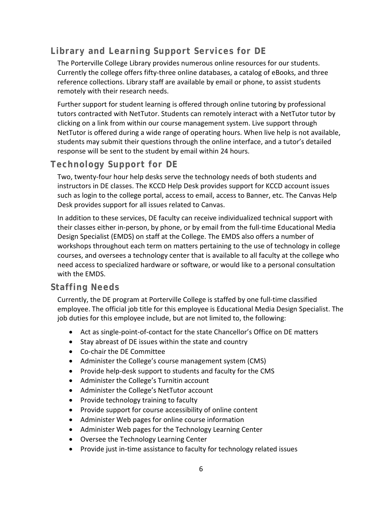### **Library and Learning Support Services for DE**

The Porterville College Library provides numerous online resources for our students. Currently the college offers fifty-three online databases, a catalog of eBooks, and three reference collections. Library staff are available by email or phone, to assist students remotely with their research needs.

Further support for student learning is offered through online tutoring by professional tutors contracted with NetTutor. Students can remotely interact with a NetTutor tutor by clicking on a link from within our course management system. Live support through NetTutor is offered during a wide range of operating hours. When live help is not available, students may submit their questions through the online interface, and a tutor's detailed response will be sent to the student by email within 24 hours.

### **Technology Support for DE**

Two, twenty-four hour help desks serve the technology needs of both students and instructors in DE classes. The KCCD Help Desk provides support for KCCD account issues such as login to the college portal, access to email, access to Banner, etc. The Canvas Help Desk provides support for all issues related to Canvas.

In addition to these services, DE faculty can receive individualized technical support with their classes either in-person, by phone, or by email from the full-time Educational Media Design Specialist (EMDS) on staff at the College. The EMDS also offers a number of workshops throughout each term on matters pertaining to the use of technology in college courses, and oversees a technology center that is available to all faculty at the college who need access to specialized hardware or software, or would like to a personal consultation with the EMDS.

### **Staffing Needs**

Currently, the DE program at Porterville College is staffed by one full-time classified employee. The official job title for this employee is Educational Media Design Specialist. The job duties for this employee include, but are not limited to, the following:

- Act as single-point-of-contact for the state Chancellor's Office on DE matters
- Stay abreast of DE issues within the state and country
- Co-chair the DE Committee
- Administer the College's course management system (CMS)
- Provide help-desk support to students and faculty for the CMS
- Administer the College's Turnitin account
- Administer the College's NetTutor account
- Provide technology training to faculty
- Provide support for course accessibility of online content
- Administer Web pages for online course information
- Administer Web pages for the Technology Learning Center
- Oversee the Technology Learning Center
- Provide just in-time assistance to faculty for technology related issues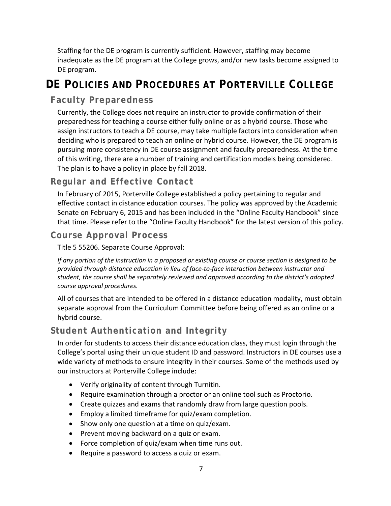Staffing for the DE program is currently sufficient. However, staffing may become inadequate as the DE program at the College grows, and/or new tasks become assigned to DE program.

# **DE POLICIES AND PROCEDURES AT PORTERVILLE COLLEGE**

### **Faculty Preparedness**

Currently, the College does not require an instructor to provide confirmation of their preparedness for teaching a course either fully online or as a hybrid course. Those who assign instructors to teach a DE course, may take multiple factors into consideration when deciding who is prepared to teach an online or hybrid course. However, the DE program is pursuing more consistency in DE course assignment and faculty preparedness. At the time of this writing, there are a number of training and certification models being considered. The plan is to have a policy in place by fall 2018.

### **Regular and Effective Contact**

In February of 2015, Porterville College established a policy pertaining to regular and effective contact in distance education courses. The policy was approved by the Academic Senate on February 6, 2015 and has been included in the "Online Faculty Handbook" since that time. Please refer to the "Online Faculty Handbook" for the latest version of this policy.

### **Course Approval Process**

#### Title 5 55206. Separate Course Approval:

*If any portion of the instruction in a proposed or existing course or course section is designed to be provided through distance education in lieu of face-to-face interaction between instructor and student, the course shall be separately reviewed and approved according to the district's adopted course approval procedures.*

All of courses that are intended to be offered in a distance education modality, must obtain separate approval from the Curriculum Committee before being offered as an online or a hybrid course.

### **Student Authentication and Integrity**

In order for students to access their distance education class, they must login through the College's portal using their unique student ID and password. Instructors in DE courses use a wide variety of methods to ensure integrity in their courses. Some of the methods used by our instructors at Porterville College include:

- Verify originality of content through Turnitin.
- Require examination through a proctor or an online tool such as Proctorio.
- Create quizzes and exams that randomly draw from large question pools.
- Employ a limited timeframe for quiz/exam completion.
- Show only one question at a time on quiz/exam.
- Prevent moving backward on a quiz or exam.
- Force completion of quiz/exam when time runs out.
- Require a password to access a quiz or exam.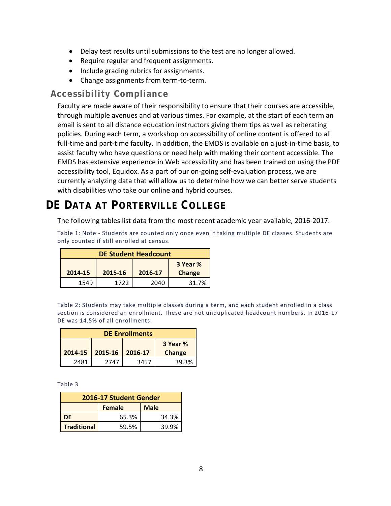- Delay test results until submissions to the test are no longer allowed.
- Require regular and frequent assignments.
- Include grading rubrics for assignments.
- Change assignments from term-to-term.

#### **Accessibility Compliance**

Faculty are made aware of their responsibility to ensure that their courses are accessible, through multiple avenues and at various times. For example, at the start of each term an email is sent to all distance education instructors giving them tips as well as reiterating policies. During each term, a workshop on accessibility of online content is offered to all full-time and part-time faculty. In addition, the EMDS is available on a just-in-time basis, to assist faculty who have questions or need help with making their content accessible. The EMDS has extensive experience in Web accessibility and has been trained on using the PDF accessibility tool, Equidox. As a part of our on-going self-evaluation process, we are currently analyzing data that will allow us to determine how we can better serve students with disabilities who take our online and hybrid courses.

# **DE DATA AT PORTERVILLE COLLEGE**

The following tables list data from the most recent academic year available, 2016-2017.

Table 1: Note - Students are counted only once even if taking multiple DE classes. Students are only counted if still enrolled at census.

| <b>DE Student Headcount</b>             |      |      |       |  |
|-----------------------------------------|------|------|-------|--|
| 3 Year %                                |      |      |       |  |
| 2014-15<br>2015-16<br>Change<br>2016-17 |      |      |       |  |
| 1549                                    | 1722 | 2040 | 31.7% |  |

Table 2: Students may take multiple classes during a term, and each student enrolled in a class section is considered an enrollment. These are not unduplicated headcount numbers. In 2016-17 DE was 14.5% of all enrollments.

| <b>DE Enrollments</b>                   |      |      |       |  |  |
|-----------------------------------------|------|------|-------|--|--|
| 3 Year %                                |      |      |       |  |  |
| 2015-16<br>2014-15<br>Change<br>2016-17 |      |      |       |  |  |
| 2481                                    | 2747 | 3457 | 39.3% |  |  |

Table 3

| 2016-17 Student Gender       |       |       |  |  |
|------------------------------|-------|-------|--|--|
| <b>Female</b><br><b>Male</b> |       |       |  |  |
| DF                           | 65.3% | 34.3% |  |  |
| <b>Traditional</b>           | 59.5% | 39.9% |  |  |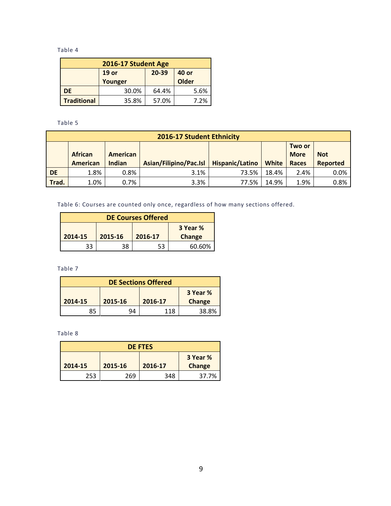Table 4

| 2016-17 Student Age                       |         |       |              |  |  |
|-------------------------------------------|---------|-------|--------------|--|--|
| 20-39<br>19 <sub>or</sub><br><b>40 or</b> |         |       |              |  |  |
|                                           | Younger |       | <b>Older</b> |  |  |
| DE                                        | 30.0%   | 64.4% | 5.6%         |  |  |
| <b>Traditional</b>                        | 35.8%   | 57.0% | 7.2%         |  |  |

Table 5

|                                                                                                                                                                             | 2016-17 Student Ethnicity |      |      |       |       |                 |      |
|-----------------------------------------------------------------------------------------------------------------------------------------------------------------------------|---------------------------|------|------|-------|-------|-----------------|------|
| Two or<br><b>African</b><br><b>More</b><br>American<br><b>Not</b><br>Asian/Filipino/Pac.Isl<br>Hispanic/Latino<br><b>American</b><br>Indian<br><b>White</b><br><b>Races</b> |                           |      |      |       |       | <b>Reported</b> |      |
| <b>DE</b>                                                                                                                                                                   | 1.8%                      | 0.8% | 3.1% | 73.5% | 18.4% | 2.4%            | 0.0% |
| Trad.                                                                                                                                                                       | 1.0%                      | 0.7% | 3.3% | 77.5% | 14.9% | 1.9%            | 0.8% |

Table 6: Courses are counted only once, regardless of how many sections offered.

| <b>DE Courses Offered</b>                                  |    |    |        |  |
|------------------------------------------------------------|----|----|--------|--|
| 3 Year %<br>2014-15<br>2015-16<br>2016-17<br><b>Change</b> |    |    |        |  |
| 33                                                         | 38 | 53 | 60.60% |  |

Table 7

| <b>DE Sections Offered</b> |               |     |       |  |
|----------------------------|---------------|-----|-------|--|
| 3 Year %                   |               |     |       |  |
| 2014-15                    | <b>Change</b> |     |       |  |
| 85                         | ٩Δ            | 118 | 38.8% |  |

Table 8

| <b>DE FTES</b> |         |         |        |  |
|----------------|---------|---------|--------|--|
| 3 Year %       |         |         |        |  |
| 2014-15        | 2015-16 | 2016-17 | Change |  |
| 253            | 269     | 348     | 37.7%  |  |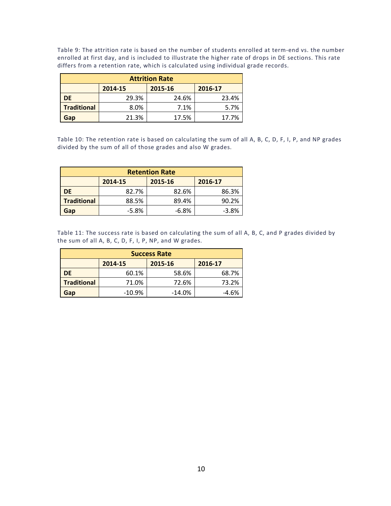Table 9: The attrition rate is based on the number of students enrolled at term-end vs. the number enrolled at first day, and is included to illustrate the higher rate of drops in DE sections. This rate differs from a retention rate, which is calculated using individual grade records.

| <b>Attrition Rate</b>         |       |       |       |  |  |
|-------------------------------|-------|-------|-------|--|--|
| 2014-15<br>2015-16<br>2016-17 |       |       |       |  |  |
| <b>DE</b>                     | 29.3% | 24.6% | 23.4% |  |  |
| <b>Traditional</b>            | 8.0%  | 7.1%  | 5.7%  |  |  |
| Gap                           | 21.3% | 17.5% | 17.7% |  |  |

Table 10: The retention rate is based on calculating the sum of all A, B, C, D, F, I, P, and NP grades divided by the sum of all of those grades and also W grades.

| <b>Retention Rate</b>         |         |         |         |  |
|-------------------------------|---------|---------|---------|--|
| 2014-15<br>2015-16<br>2016-17 |         |         |         |  |
| DE                            | 82.7%   | 82.6%   | 86.3%   |  |
| <b>Traditional</b>            | 88.5%   | 89.4%   | 90.2%   |  |
| Gap                           | $-5.8%$ | $-6.8%$ | $-3.8%$ |  |

Table 11: The success rate is based on calculating the sum of all A, B, C, and P grades divided by the sum of all A, B, C, D, F, I, P, NP, and W grades.

| <b>Success Rate</b>           |          |           |       |  |
|-------------------------------|----------|-----------|-------|--|
| 2014-15<br>2015-16<br>2016-17 |          |           |       |  |
| DE                            | 60.1%    | 58.6%     | 68.7% |  |
| <b>Traditional</b>            | 71.0%    | 72.6%     | 73.2% |  |
| Gap                           | $-10.9%$ | $-14.0\%$ | -4.6% |  |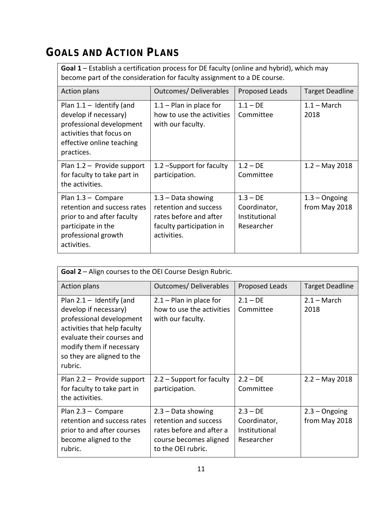# **GOALS AND ACTION PLANS**

**Goal 1** – Establish a certification process for DE faculty (online and hybrid), which may become part of the consideration for faculty assignment to a DE course.

| <b>Action plans</b>                                                                                                                                    | <b>Outcomes/ Deliverables</b>                                                                                      | Proposed Leads                                            | <b>Target Deadline</b>           |
|--------------------------------------------------------------------------------------------------------------------------------------------------------|--------------------------------------------------------------------------------------------------------------------|-----------------------------------------------------------|----------------------------------|
| Plan $1.1 -$ Identify (and<br>develop if necessary)<br>professional development<br>activities that focus on<br>effective online teaching<br>practices. | $1.1 -$ Plan in place for<br>how to use the activities<br>with our faculty.                                        | $1.1 - DE$<br>Committee                                   | $1.1 - March$<br>2018            |
| Plan $1.2$ - Provide support<br>for faculty to take part in<br>the activities.                                                                         | 1.2 - Support for faculty<br>participation.                                                                        | $1.2 - DE$<br>Committee                                   | $1.2 - May 2018$                 |
| Plan $1.3 -$ Compare<br>retention and success rates<br>prior to and after faculty<br>participate in the<br>professional growth<br>activities.          | $1.3 - Data showing$<br>retention and success<br>rates before and after<br>faculty participation in<br>activities. | $1.3 - DE$<br>Coordinator,<br>Institutional<br>Researcher | $1.3 -$ Ongoing<br>from May 2018 |

| Goal 2 - Align courses to the OEI Course Design Rubric.                                                                                                                                                            |                                                                                                                           |                                                           |                                  |  |  |
|--------------------------------------------------------------------------------------------------------------------------------------------------------------------------------------------------------------------|---------------------------------------------------------------------------------------------------------------------------|-----------------------------------------------------------|----------------------------------|--|--|
| <b>Action plans</b>                                                                                                                                                                                                | <b>Outcomes/ Deliverables</b>                                                                                             | Proposed Leads                                            | <b>Target Deadline</b>           |  |  |
| Plan $2.1 -$ Identify (and<br>develop if necessary)<br>professional development<br>activities that help faculty<br>evaluate their courses and<br>modify them if necessary<br>so they are aligned to the<br>rubric. | $2.1 -$ Plan in place for<br>how to use the activities<br>with our faculty.                                               | $2.1 - DE$<br>Committee                                   | $2.1 - March$<br>2018            |  |  |
| Plan $2.2 -$ Provide support<br>for faculty to take part in<br>the activities.                                                                                                                                     | $2.2$ – Support for faculty<br>participation.                                                                             | $2.2 - DE$<br>Committee                                   | $2.2 - May 2018$                 |  |  |
| Plan $2.3 -$ Compare<br>retention and success rates<br>prior to and after courses<br>become aligned to the<br>rubric.                                                                                              | $2.3 - Data showing$<br>retention and success<br>rates before and after a<br>course becomes aligned<br>to the OEI rubric. | $2.3 - DE$<br>Coordinator,<br>Institutional<br>Researcher | $2.3 -$ Ongoing<br>from May 2018 |  |  |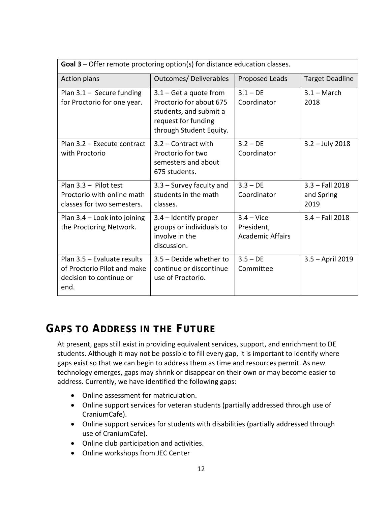| Goal 3 - Offer remote proctoring option(s) for distance education classes.                    |                                                                                                                                 |                                                              |                                         |  |  |
|-----------------------------------------------------------------------------------------------|---------------------------------------------------------------------------------------------------------------------------------|--------------------------------------------------------------|-----------------------------------------|--|--|
| <b>Action plans</b>                                                                           | <b>Outcomes/ Deliverables</b>                                                                                                   | Proposed Leads                                               | <b>Target Deadline</b>                  |  |  |
| Plan $3.1 -$ Secure funding<br>for Proctorio for one year.                                    | $3.1 - Get a quote from$<br>Proctorio for about 675<br>students, and submit a<br>request for funding<br>through Student Equity. | $3.1 - DE$<br>Coordinator                                    | $3.1 - March$<br>2018                   |  |  |
| Plan 3.2 - Execute contract<br>with Proctorio                                                 | 3.2 - Contract with<br>Proctorio for two<br>semesters and about<br>675 students.                                                | $3.2 - DE$<br>Coordinator                                    | $3.2 - July 2018$                       |  |  |
| Plan $3.3 -$ Pilot test<br>Proctorio with online math<br>classes for two semesters.           | $3.3$ – Survey faculty and<br>students in the math<br>classes.                                                                  | $3.3 - DE$<br>Coordinator                                    | $3.3 - Fall 2018$<br>and Spring<br>2019 |  |  |
| Plan 3.4 - Look into joining<br>the Proctoring Network.                                       | 3.4 – Identify proper<br>groups or individuals to<br>involve in the<br>discussion.                                              | $3.4 - \text{Vice}$<br>President,<br><b>Academic Affairs</b> | $3.4 - Fall 2018$                       |  |  |
| Plan 3.5 - Evaluate results<br>of Proctorio Pilot and make<br>decision to continue or<br>end. | 3.5 - Decide whether to<br>continue or discontinue<br>use of Proctorio.                                                         | $3.5 - DE$<br>Committee                                      | $3.5 -$ April 2019                      |  |  |

# **GAPS TO ADDRESS IN THE FUTURE**

At present, gaps still exist in providing equivalent services, support, and enrichment to DE students. Although it may not be possible to fill every gap, it is important to identify where gaps exist so that we can begin to address them as time and resources permit. As new technology emerges, gaps may shrink or disappear on their own or may become easier to address. Currently, we have identified the following gaps:

- Online assessment for matriculation.
- Online support services for veteran students (partially addressed through use of CraniumCafe).
- Online support services for students with disabilities (partially addressed through use of CraniumCafe).
- Online club participation and activities.
- Online workshops from JEC Center